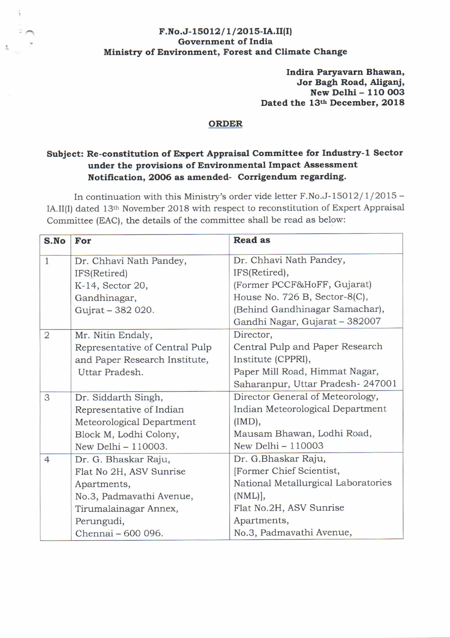## $F.No.J-15012/1/2015-IA.II(I)$ Government of India Ministry of Environment, Forest and Climate Change

Indlra Paryavarn Bhawan, Jor Bagh Road, Aliganj, New Delhi - 110 003 Dated the 13th December, 2018

## ORDER

## Subject: Re-constitution of Expert Appraisal Committee for Industry-1 Sector under the provisions of Environmental Impact Assessment Notification, 2006 as amended- Corrigendum regarding.

In continuation with this Ministry's order vide letter F.No.J-15012/l/2075 - IA.II(I) dated 13<sup>th</sup> November 2018 with respect to reconstitution of Expert Appraisal Committee (EAC), the details of the committee shall be read as below:

| S.No           | For                            | <b>Read as</b>                      |
|----------------|--------------------------------|-------------------------------------|
| $\mathbf{1}$   | Dr. Chhavi Nath Pandey,        | Dr. Chhavi Nath Pandey,             |
|                | IFS(Retired)                   | IFS(Retired),                       |
|                | K-14, Sector 20,               | (Former PCCF&HoFF, Gujarat)         |
|                | Gandhinagar,                   | House No. 726 B, Sector-8(C),       |
|                | Gujrat - 382 020.              | (Behind Gandhinagar Samachar),      |
|                |                                | Gandhi Nagar, Gujarat - 382007      |
| $\overline{2}$ | Mr. Nitin Endaly,              | Director,                           |
|                | Representative of Central Pulp | Central Pulp and Paper Research     |
|                | and Paper Research Institute,  | Institute (CPPRI),                  |
|                | Uttar Pradesh.                 | Paper Mill Road, Himmat Nagar,      |
|                |                                | Saharanpur, Uttar Pradesh-247001    |
| 3              | Dr. Siddarth Singh,            | Director General of Meteorology,    |
|                | Representative of Indian       | Indian Meteorological Department    |
|                | Meteorological Department      | (IMD),                              |
|                | Block M, Lodhi Colony,         | Mausam Bhawan, Lodhi Road,          |
|                | New Delhi - 110003.            | New Delhi - 110003                  |
| $\overline{4}$ | Dr. G. Bhaskar Raju,           | Dr. G.Bhaskar Raju,                 |
|                | Flat No 2H, ASV Sunrise        | [Former Chief Scientist,            |
|                | Apartments,                    | National Metallurgical Laboratories |
|                | No.3, Padmavathi Avenue,       | $(NML)$ ],                          |
|                | Tirumalainagar Annex,          | Flat No.2H, ASV Sunrise             |
|                | Perungudi,                     | Apartments,                         |
|                | Chennai - 600 096.             | No.3, Padmavathi Avenue,            |